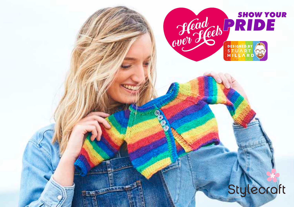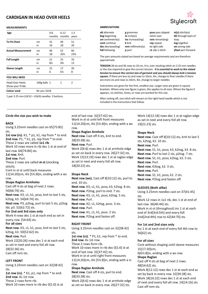# **CARDIGAN IN HEAD OVER HEELS**



## **MEASUREMENTS**

| Age                                       |              | $0 - 6$<br>months | $6 - 12$<br>months | $1 - 2$<br>years |
|-------------------------------------------|--------------|-------------------|--------------------|------------------|
| <b>To Fit Chest</b>                       | cm           | 41                | 46                 | 51               |
|                                           | in           | 16                | 18                 | 20               |
| <b>Actual Measurement</b>                 | cm           | 46                | 52                 | 60               |
|                                           | in           | 18                | 201/2              | 23%              |
| <b>Full Length</b>                        | cm           | 21                | 25                 | 33               |
|                                           | in           | 8¼                | $9\frac{3}{4}$     | 13               |
| Sleeve Length                             | cm           | 15                | 17                 | 20               |
|                                           | in           | 6                 | $6\frac{1}{2}$     | 8                |
| <b>YOU WILL NEED</b>                      |              |                   |                    |                  |
| <b>Head Over Heels</b><br>Show your Pride | 100g balls 1 |                   | 1                  | 2                |
| <b>Colour used</b>                        | Be you 1018  |                   |                    |                  |

1 pair 3.25 mm (UK10 – USA3) needles. 3 buttons.

### **ABBREVIATIONS**

| alt alternate<br><b>psso</b> pass slipped<br>g grammes<br>$in$ inch(es)<br>beg beginning<br>inc increase(ing)<br>cm centimetre(s)<br>cont continue<br><b>k</b> knit<br>dec decrease(ing)<br>mm millimetre(s)<br>foll following<br>p purl | stitch over<br>rem remain(ing)<br>rep repeat<br>rs right side<br>s1 slip 1 stitch | tbl through back of<br>loop<br>tog together<br>ws wrong side<br><b>yfwd</b> yarn forward |
|------------------------------------------------------------------------------------------------------------------------------------------------------------------------------------------------------------------------------------------|-----------------------------------------------------------------------------------|------------------------------------------------------------------------------------------|
|------------------------------------------------------------------------------------------------------------------------------------------------------------------------------------------------------------------------------------------|-----------------------------------------------------------------------------------|------------------------------------------------------------------------------------------|

The yarn amounts stated are based on average requirements and are therefore approximate.

**TENSION** 28 sts and 36 rows to 10 cm, 4 in, over stocking stitch on 3.25 mm needles or the size required to give the correct tension. **It is essential to work to the stated tension to ensure the correctsize of garment and you should always knit a tension** square. If there are less sts and rows to 10cm, 4in, change to finer needles if there are more sts and rowsto 10cm, 4in, change to larger needles.

Instructions are given for the first, smallest size. Larger sizes are given in square brackets. Where only one figure is given, this applies to all sizes. Where the figure 0 appears, no stitches, times, or rows are worked for this size.

After casting off, one stitch will remain on the right hand needle which is not included in the instructions that follow.

Using 3.25mm needles cast on 65[75:85] row.<br>sts. **Shar** sts. **Shape Raglan Armhole Shape Neck**<br>**1st row (rs).** K1, \* p1, k1, rep from \* to end. **Next row.** Cast off 4 sts, knit to end. **Next row.** C

1st row (rs). K1, \* p1, k1, rep from \* to end.<br>
2nd row. P1, \* k1, p1, rep from \* to end.<br>
28[33:38] sts.<br>
28[33:38] sts. knit to end.<br>
28[33:38] sts. knit to end.<br>
28[33:38] sts. knit to end.<br>
28[33:38] sts. knit to end.<br>

These 2 rows are called **st-st** (stocking as set in next row. These 2 row. Alternative row. Next row. 28[20:22] sts.

Cont in st-st until back measures<br>11[14:20]cm, 4¼ [5½:8]in, ending with a ws **Shape Neck Next row.** Next row S1 k

11[14:20]cm, 4¼ [5½:8]in, ending with a ws **Shape Neck Next row.** S1, k1, psso, k1. 2 sts.

**Shape Raglan Armholes**<br>Cast off 4 sts at beg of next 2 rows.

**Next row.** K3, s1, k1, psso, knit to last 5 sts, **Next row.** K3, s1, k1, psso, k2tog. 5 sts. sts. sts. sts. sts.

**Next row.** P3, p2tog, purl to last 5 sts, p2tog **Next row.** K2, s1, k2tog, psso. 3 sts. last row. 36[40:44] sts. <br>**Next row.** Purl. **Next row.** Purl. **Work in st-st (througher)** 

every row. [54:64] sts.

**For all sizes**<br>**RIGHT FRONT REACT ACT FOR EXT AND For 1st and 2nd sizes only<br><b>Next row.** K3, s1, k1, psso, knit to last 5 sts, Using 3.25mm needles cast on 32[38:42] Inc 1 st at each end of ever k2tog, k3. 50[52:62] sts.  $\frac{1}{1}$  sts.  $\frac{1}{1}$  sts.  $\frac{1}{1}$  sts.  $\frac{1}{1}$  sts.  $\frac{1}{1}$  straw (rs),  $*$  P1. k1. rep from  $*$  to end. Work 22[20:26] rows dec 1 st at each end **2nd row.** As 1st row.<br> **2nd row.** As 1st row. **For all sizes**<br> **Example 18 row 2** rows form rib. as set in next and every foll alt row. These 2 rows form rib. Cont without shaping until sleeve measures  $28[32:36]$  sts.<br>Coat off rom at 28. The 200 cm of the community of the CM-2012 state and of last row. 32[37:42] sts.

**1st row (rs).** \* K1, p1, rep from \* to end. **Next row.** Cast off 4 sts, purl to end. set by back in every row. 32[30:38] sts.<br>**28** and row. As 1st row. set by the set by the set by the set by the set by the set by the set

Work in st-st until left front measures as set in next and every foll alt row. **BACK BACK BACK 11[14:20]cm, 4¼ [5½:8]in, ending with a ws** 19[21:23] sts.

last row. 64[74:84] sts. **188 back in every row. 26** as set on back in every row. 26[27:32] sts. **Next row.** Purl to last 2 sts, p2tog. 7 sts. **1st row.** Rnit.<br>**2nd row.** Purl. **Next row.** Purl to last 2 sts, p2tog. 7 sts. **2nd row.** Purl. **2nd row.** Purl. Work 15[13:19] rows dec 1 st at raglan edge **Next row.** S1, k<br>These 2 rows are called st-st (stocking as set in next and every foll alt row. 18[20:22] sts. stitch). **Next row.** K3tog, k2. 3 sts.

**Next row (ws).** Cast off 8[10:12] sts, purl to **Next row.** P2tog and fasten off. end. 10 sts. Cast off 4 sts at beg of next 2 rows. **Next row.** K3, s1, k1, psso, k3, k2tog. 8 sts. **SLEEVES (Both alike)**<br>11 **Next row.** P2tog, purl to end. 7 sts. **SLEEVES (Both alike) Next row.** P2tog, purl to end. 7 sts. Using 3.25mm needles cast on 37[41:45]<br>**Next row.** K3, s1, k1, psso, k2tog. 5 sts. exts tbl, p3. 52[62:72] sts. **Next row.** Purl. **Next row.** Purl. Work in st-st (throughout) inc 1 st at each<br> **For 2nd and 3rd sizes only <b>Next row**. K1 s1 k1 psso. 2 sts and of 3rd 3rd 3rd and every foll **For 2010 Kext row.** K1, s1, k1, psso. 2 sts. end of 3rd[3rd:5th] and every foll Work 4 rows dec 1 st at each end as set in **Next row.** P2tog and fasten off. 2nd[2nd:4th] row to 42[44:70] sts.

**1st row (rs).** \* P1, k1, rep from \* to end. Cast off rem sts. Cast row. 32[37:42] sts.  $6[6\frac{1}{2}8]$  in, ending with a ws row. Work in st-st until right front measures **Shape Raglan LEFT FRONT** 11[14:20]cm, 4¼ [5½:8]in, ending with a rs **Left FRONT** Cast off 4 sts at beg of next 2 rows. Using 3.25mm needles cast on 32[38:42]  $\frac{1}{2}$  FOW.<br> **Shape Raglan Armhole**  $\frac{1}{2}$  Algebral 213:42]

**Circle the size you wish to make** end of last row. 32[37:42] sts. Work 14[12:18] rows dec 1 st at raglan edge

These 2 rows are called **IXI HD.**<br>Work 10 rows more in rib dec 1 st at end of Work 2[6:6] rows dec 1 st at armhole edge **Next row.** S1, k1, psso, k3, k2tog, k3. 8 sts. **and the state of the state of Next row.** S1, k1, psso

Work 12 rows in 1x1 rib, dec 1 st at end of

Inc 1 st at each end of every foll 4th row to

**Shape Raglan Armhole**<br>1st row (rs) \* K1 p1 rep from \* to end **Next row.** Cast off 4 sts, purl to end. North also haddle as the back in summany 23[30.38] the **2nd row.** As 1st row.<br>These 2 rows form rib. Work 2003.38] Sts. Work 2008 and a work 18[16:22] rows dec 1 st at each end These 2 rows form rib. Work 2[6:6] rows dec 1 st at armhole edge of next and every foll alt row. 14[14:16] sts.<br>Work 10 rows more in rib dec 0[1:0] st at as set on back in every row. 26[27:32] sts. Cast off rem sts.